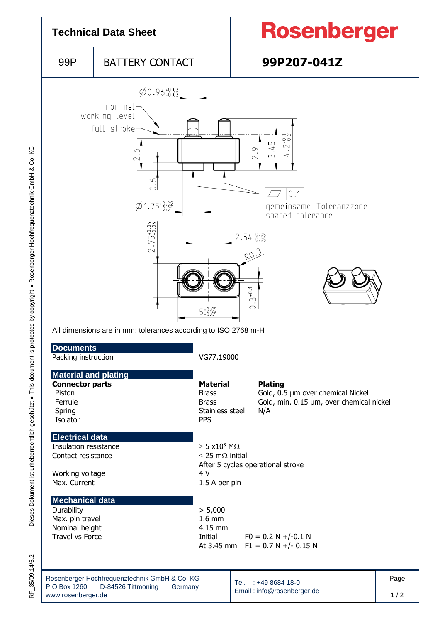

35/09.14/6.2  $\frac{\mu}{\alpha}$